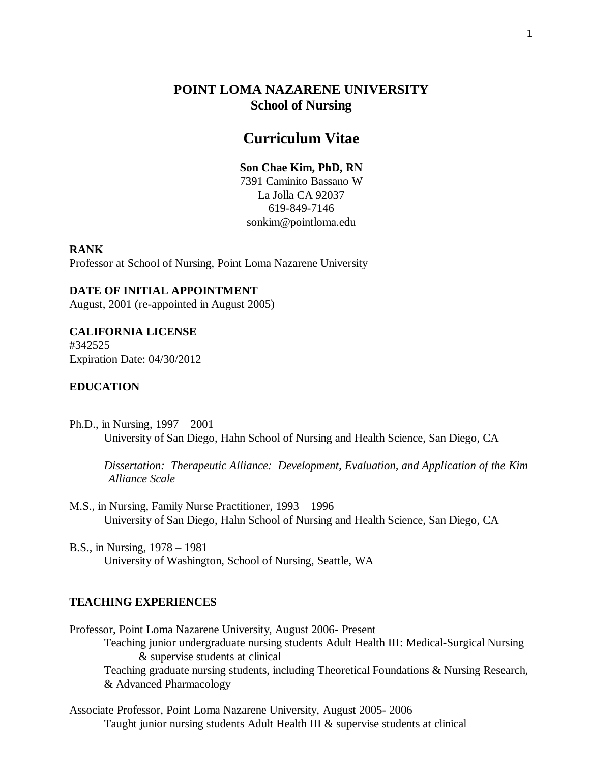# **POINT LOMA NAZARENE UNIVERSITY School of Nursing**

## **Curriculum Vitae**

## **Son Chae Kim, PhD, RN**

7391 Caminito Bassano W La Jolla CA 92037 619-849-7146 sonkim@pointloma.edu

## **RANK**

Professor at School of Nursing, Point Loma Nazarene University

#### **DATE OF INITIAL APPOINTMENT**

August, 2001 (re-appointed in August 2005)

## **CALIFORNIA LICENSE**

#342525 Expiration Date: 04/30/2012

## **EDUCATION**

Ph.D., in Nursing, 1997 – 2001 University of San Diego, Hahn School of Nursing and Health Science, San Diego, CA

*Dissertation: Therapeutic Alliance: Development, Evaluation, and Application of the Kim Alliance Scale*

- M.S., in Nursing, Family Nurse Practitioner, 1993 1996 University of San Diego, Hahn School of Nursing and Health Science, San Diego, CA
- B.S., in Nursing, 1978 1981 University of Washington, School of Nursing, Seattle, WA

#### **TEACHING EXPERIENCES**

Professor, Point Loma Nazarene University, August 2006- Present Teaching junior undergraduate nursing students Adult Health III: Medical-Surgical Nursing & supervise students at clinical Teaching graduate nursing students, including Theoretical Foundations & Nursing Research, & Advanced Pharmacology

Associate Professor, Point Loma Nazarene University, August 2005- 2006 Taught junior nursing students Adult Health III & supervise students at clinical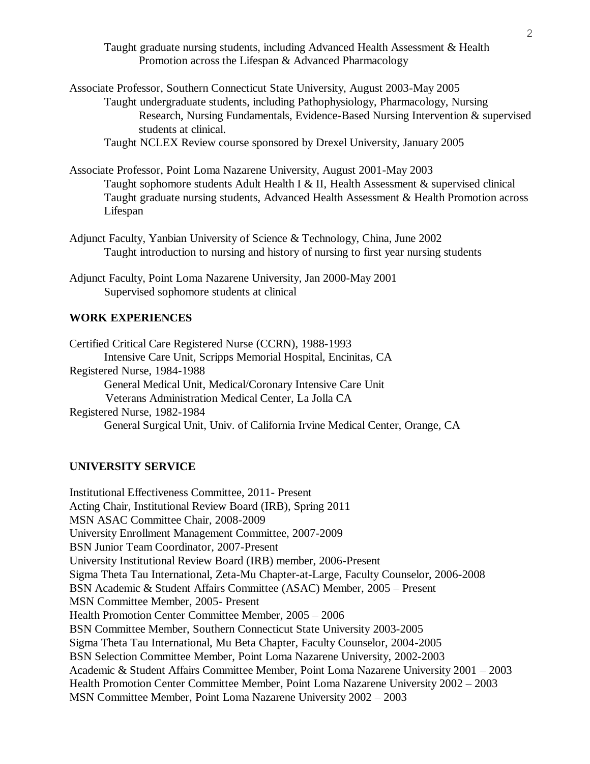Taught graduate nursing students, including Advanced Health Assessment & Health Promotion across the Lifespan & Advanced Pharmacology

Associate Professor, Southern Connecticut State University, August 2003-May 2005 Taught undergraduate students, including Pathophysiology, Pharmacology, Nursing Research, Nursing Fundamentals, Evidence-Based Nursing Intervention & supervised students at clinical.

Taught NCLEX Review course sponsored by Drexel University, January 2005

Associate Professor, Point Loma Nazarene University, August 2001-May 2003 Taught sophomore students Adult Health I & II, Health Assessment & supervised clinical Taught graduate nursing students, Advanced Health Assessment & Health Promotion across Lifespan

- Adjunct Faculty, Yanbian University of Science & Technology, China, June 2002 Taught introduction to nursing and history of nursing to first year nursing students
- Adjunct Faculty, Point Loma Nazarene University, Jan 2000-May 2001 Supervised sophomore students at clinical

## **WORK EXPERIENCES**

Certified Critical Care Registered Nurse (CCRN), 1988-1993 Intensive Care Unit, Scripps Memorial Hospital, Encinitas, CA Registered Nurse, 1984-1988 General Medical Unit, Medical/Coronary Intensive Care Unit Veterans Administration Medical Center, La Jolla CA Registered Nurse, 1982-1984 General Surgical Unit, Univ. of California Irvine Medical Center, Orange, CA

#### **UNIVERSITY SERVICE**

Institutional Effectiveness Committee, 2011- Present Acting Chair, Institutional Review Board (IRB), Spring 2011 MSN ASAC Committee Chair, 2008-2009 University Enrollment Management Committee, 2007-2009 BSN Junior Team Coordinator, 2007-Present University Institutional Review Board (IRB) member, 2006-Present Sigma Theta Tau International, Zeta-Mu Chapter-at-Large, Faculty Counselor, 2006-2008 BSN Academic & Student Affairs Committee (ASAC) Member, 2005 – Present MSN Committee Member, 2005- Present Health Promotion Center Committee Member, 2005 – 2006 BSN Committee Member, Southern Connecticut State University 2003-2005 Sigma Theta Tau International, Mu Beta Chapter, Faculty Counselor, 2004-2005 BSN Selection Committee Member, Point Loma Nazarene University, 2002-2003 Academic & Student Affairs Committee Member, Point Loma Nazarene University 2001 – 2003 Health Promotion Center Committee Member, Point Loma Nazarene University 2002 – 2003 MSN Committee Member, Point Loma Nazarene University 2002 – 2003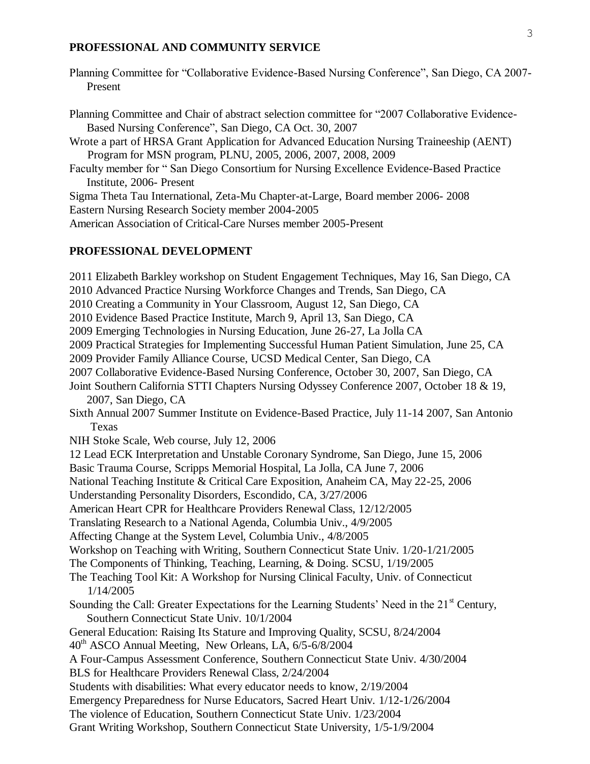#### **PROFESSIONAL AND COMMUNITY SERVICE**

Planning Committee for "Collaborative Evidence-Based Nursing Conference", San Diego, CA 2007- Present

Planning Committee and Chair of abstract selection committee for "2007 Collaborative Evidence-Based Nursing Conference", San Diego, CA Oct. 30, 2007 Wrote a part of HRSA Grant Application for Advanced Education Nursing Traineeship (AENT) Program for MSN program, PLNU, 2005, 2006, 2007, 2008, 2009 Faculty member for " San Diego Consortium for Nursing Excellence Evidence-Based Practice Institute, 2006- Present Sigma Theta Tau International, Zeta-Mu Chapter-at-Large, Board member 2006- 2008 Eastern Nursing Research Society member 2004-2005

American Association of Critical-Care Nurses member 2005-Present

## **PROFESSIONAL DEVELOPMENT**

2011 Elizabeth Barkley workshop on Student Engagement Techniques, May 16, San Diego, CA 2010 Advanced Practice Nursing Workforce Changes and Trends, San Diego, CA 2010 Creating a Community in Your Classroom, August 12, San Diego, CA 2010 Evidence Based Practice Institute, March 9, April 13, San Diego, CA 2009 Emerging Technologies in Nursing Education, June 26-27, La Jolla CA 2009 Practical Strategies for Implementing Successful Human Patient Simulation, June 25, CA 2009 Provider Family Alliance Course, UCSD Medical Center, San Diego, CA 2007 Collaborative Evidence-Based Nursing Conference, October 30, 2007, San Diego, CA Joint Southern California STTI Chapters Nursing Odyssey Conference 2007, October 18 & 19, 2007, San Diego, CA Sixth Annual 2007 Summer Institute on Evidence-Based Practice, July 11-14 2007, San Antonio Texas NIH Stoke Scale, Web course, July 12, 2006 12 Lead ECK Interpretation and Unstable Coronary Syndrome, San Diego, June 15, 2006 Basic Trauma Course, Scripps Memorial Hospital, La Jolla, CA June 7, 2006 National Teaching Institute & Critical Care Exposition, Anaheim CA, May 22-25, 2006 Understanding Personality Disorders, Escondido, CA, 3/27/2006 American Heart CPR for Healthcare Providers Renewal Class, 12/12/2005 Translating Research to a National Agenda, Columbia Univ., 4/9/2005 Affecting Change at the System Level, Columbia Univ., 4/8/2005 Workshop on Teaching with Writing, Southern Connecticut State Univ. 1/20-1/21/2005 The Components of Thinking, Teaching, Learning, & Doing. SCSU, 1/19/2005 The Teaching Tool Kit: A Workshop for Nursing Clinical Faculty, Univ. of Connecticut 1/14/2005 Sounding the Call: Greater Expectations for the Learning Students' Need in the  $21<sup>st</sup>$  Century, Southern Connecticut State Univ. 10/1/2004 General Education: Raising Its Stature and Improving Quality, SCSU, 8/24/2004 40th ASCO Annual Meeting, New Orleans, LA, 6/5-6/8/2004 A Four-Campus Assessment Conference, Southern Connecticut State Univ. 4/30/2004 BLS for Healthcare Providers Renewal Class, 2/24/2004 Students with disabilities: What every educator needs to know, 2/19/2004 Emergency Preparedness for Nurse Educators, Sacred Heart Univ. 1/12-1/26/2004 The violence of Education, Southern Connecticut State Univ. 1/23/2004 Grant Writing Workshop, Southern Connecticut State University, 1/5-1/9/2004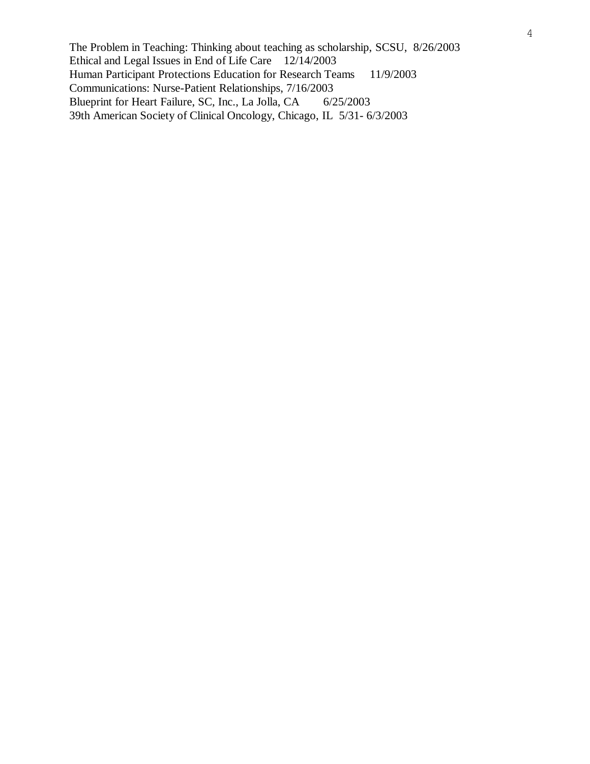The Problem in Teaching: Thinking about teaching as scholarship, SCSU, 8/26/2003 Ethical and Legal Issues in End of Life Care 12/14/2003 Human Participant Protections Education for Research Teams 11/9/2003 Communications: Nurse-Patient Relationships, 7/16/2003 Blueprint for Heart Failure, SC, Inc., La Jolla, CA 6/25/2003 39th American Society of Clinical Oncology, Chicago, IL 5/31- 6/3/2003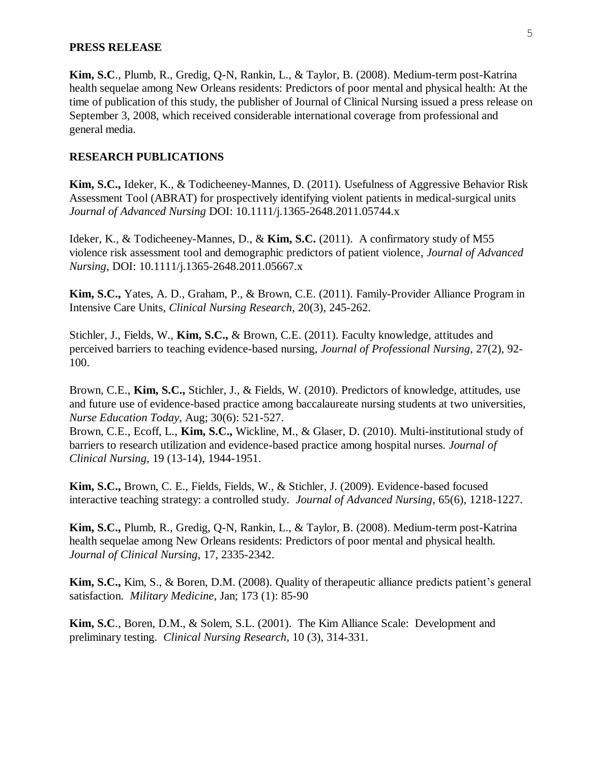## **PRESS RELEASE**

**Kim, S.C**., Plumb, R., Gredig, Q-N, Rankin, L., & Taylor, B. (2008). Medium-term post-Katrina health sequelae among New Orleans residents: Predictors of poor mental and physical health: At the time of publication of this study, the publisher of Journal of Clinical Nursing issued a press release on September 3, 2008, which received considerable international coverage from professional and general media.

#### **RESEARCH PUBLICATIONS**

**Kim, S.C.,** Ideker, K., & Todicheeney-Mannes, D. (2011). Usefulness of Aggressive Behavior Risk Assessment Tool (ABRAT) for prospectively identifying violent patients in medical-surgical units *Journal of Advanced Nursing* DOI: 10.1111/j.1365-2648.2011.05744.x

Ideker, K., & Todicheeney-Mannes, D., & **Kim, S.C.** (2011). A confirmatory study of M55 violence risk assessment tool and demographic predictors of patient violence, *Journal of Advanced Nursing*, DOI: 10.1111/j.1365-2648.2011.05667.x

**Kim, S.C.,** Yates, A. D., Graham, P., & Brown, C.E. (2011). Family-Provider Alliance Program in Intensive Care Units, *Clinical Nursing Research*, 20(3), 245-262.

Stichler, J., Fields, W., **Kim, S.C.,** & Brown, C.E. (2011). Faculty knowledge, attitudes and perceived barriers to teaching evidence-based nursing, *Journal of Professional Nursing*, 27(2), 92- 100.

Brown, C.E., **Kim, S.C.,** Stichler, J., & Fields, W. (2010). Predictors of knowledge, attitudes, use and future use of evidence-based practice among baccalaureate nursing students at two universities, *Nurse Education Today*, Aug; 30(6): 521-527.

Brown, C.E., Ecoff, L., **Kim, S.C.,** Wickline, M., & Glaser, D. (2010). Multi-institutional study of barriers to research utilization and evidence-based practice among hospital nurses. *Journal of Clinical Nursing,* 19 (13-14), 1944-1951.

**Kim, S.C.,** Brown, C. E., Fields, Fields, W., & Stichler, J. (2009). Evidence-based focused interactive teaching strategy: a controlled study. *Journal of Advanced Nursing*, 65(6), 1218-1227.

**Kim, S.C.,** Plumb, R., Gredig, Q-N, Rankin, L., & Taylor, B. (2008). Medium-term post-Katrina health sequelae among New Orleans residents: Predictors of poor mental and physical health. *Journal of Clinical Nursing*, 17, 2335-2342.

**Kim, S.C.,** Kim, S., & Boren, D.M. (2008). Quality of therapeutic alliance predicts patient's general satisfaction. *Military Medicine*, Jan; 173 (1): 85-90

**Kim, S.C**., Boren, D.M., & Solem, S.L. (2001). The Kim Alliance Scale: Development and preliminary testing. *Clinical Nursing Research*, 10 (3), 314-331.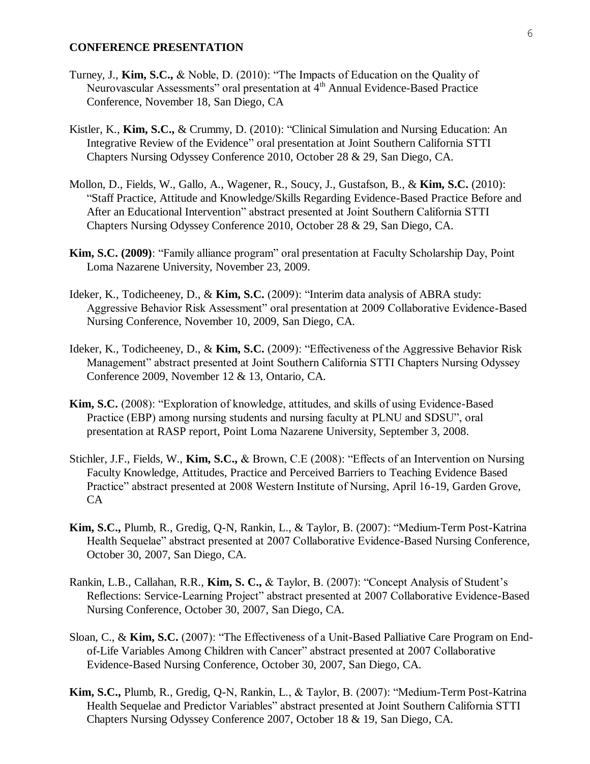## **CONFERENCE PRESENTATION**

- Turney, J., **Kim, S.C.,** & Noble, D. (2010): "The Impacts of Education on the Quality of Neurovascular Assessments" oral presentation at 4th Annual Evidence-Based Practice Conference, November 18, San Diego, CA
- Kistler, K., **Kim, S.C.,** & Crummy, D. (2010): "Clinical Simulation and Nursing Education: An Integrative Review of the Evidence" oral presentation at Joint Southern California STTI Chapters Nursing Odyssey Conference 2010, October 28 & 29, San Diego, CA.
- Mollon, D., Fields, W., Gallo, A., Wagener, R., Soucy, J., Gustafson, B., & **Kim, S.C.** (2010): "Staff Practice, Attitude and Knowledge/Skills Regarding Evidence-Based Practice Before and After an Educational Intervention" abstract presented at Joint Southern California STTI Chapters Nursing Odyssey Conference 2010, October 28 & 29, San Diego, CA.
- **Kim, S.C. (2009)**: "Family alliance program" oral presentation at Faculty Scholarship Day, Point Loma Nazarene University, November 23, 2009.
- Ideker, K., Todicheeney, D., & **Kim, S.C.** (2009): "Interim data analysis of ABRA study: Aggressive Behavior Risk Assessment" oral presentation at 2009 Collaborative Evidence-Based Nursing Conference, November 10, 2009, San Diego, CA.
- Ideker, K., Todicheeney, D., & **Kim, S.C.** (2009): "Effectiveness of the Aggressive Behavior Risk Management" abstract presented at Joint Southern California STTI Chapters Nursing Odyssey Conference 2009, November 12 & 13, Ontario, CA.
- **Kim, S.C.** (2008): "Exploration of knowledge, attitudes, and skills of using Evidence-Based Practice (EBP) among nursing students and nursing faculty at PLNU and SDSU", oral presentation at RASP report, Point Loma Nazarene University, September 3, 2008.
- Stichler, J.F., Fields, W., **Kim, S.C.,** & Brown, C.E (2008): "Effects of an Intervention on Nursing Faculty Knowledge, Attitudes, Practice and Perceived Barriers to Teaching Evidence Based Practice" abstract presented at 2008 Western Institute of Nursing, April 16-19, Garden Grove, CA
- **Kim, S.C.,** Plumb, R., Gredig, Q-N, Rankin, L., & Taylor, B. (2007): "Medium-Term Post-Katrina Health Sequelae" abstract presented at 2007 Collaborative Evidence-Based Nursing Conference, October 30, 2007, San Diego, CA.
- Rankin, L.B., Callahan, R.R., **Kim, S. C.,** & Taylor, B. (2007): "Concept Analysis of Student's Reflections: Service-Learning Project" abstract presented at 2007 Collaborative Evidence-Based Nursing Conference, October 30, 2007, San Diego, CA.
- Sloan, C., & **Kim, S.C.** (2007): "The Effectiveness of a Unit-Based Palliative Care Program on Endof-Life Variables Among Children with Cancer" abstract presented at 2007 Collaborative Evidence-Based Nursing Conference, October 30, 2007, San Diego, CA.
- **Kim, S.C.,** Plumb, R., Gredig, Q-N, Rankin, L., & Taylor, B. (2007): "Medium-Term Post-Katrina Health Sequelae and Predictor Variables" abstract presented at Joint Southern California STTI Chapters Nursing Odyssey Conference 2007, October 18 & 19, San Diego, CA.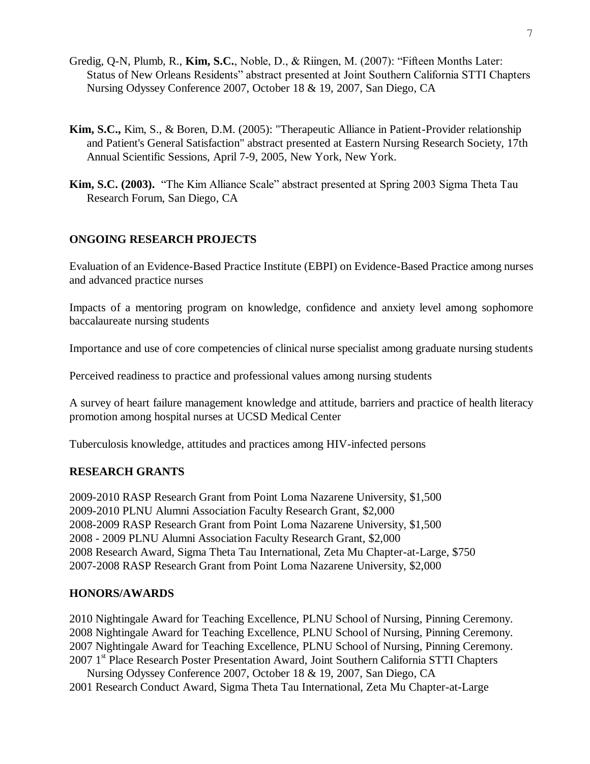- Gredig, Q-N, Plumb, R., **Kim, S.C.**, Noble, D., & Riingen, M. (2007): "Fifteen Months Later: Status of New Orleans Residents" abstract presented at Joint Southern California STTI Chapters Nursing Odyssey Conference 2007, October 18 & 19, 2007, San Diego, CA
- **Kim, S.C.,** Kim, S., & Boren, D.M. (2005): "Therapeutic Alliance in Patient-Provider relationship and Patient's General Satisfaction" abstract presented at Eastern Nursing Research Society, 17th Annual Scientific Sessions, April 7-9, 2005, New York, New York.
- **Kim, S.C. (2003).** "The Kim Alliance Scale" abstract presented at Spring 2003 Sigma Theta Tau Research Forum, San Diego, CA

## **ONGOING RESEARCH PROJECTS**

Evaluation of an Evidence-Based Practice Institute (EBPI) on Evidence-Based Practice among nurses and advanced practice nurses

Impacts of a mentoring program on knowledge, confidence and anxiety level among sophomore baccalaureate nursing students

Importance and use of core competencies of clinical nurse specialist among graduate nursing students

Perceived readiness to practice and professional values among nursing students

A survey of heart failure management knowledge and attitude, barriers and practice of health literacy promotion among hospital nurses at UCSD Medical Center

Tuberculosis knowledge, attitudes and practices among HIV-infected persons

#### **RESEARCH GRANTS**

2009-2010 RASP Research Grant from Point Loma Nazarene University, \$1,500 2009-2010 PLNU Alumni Association Faculty Research Grant, \$2,000 2008-2009 RASP Research Grant from Point Loma Nazarene University, \$1,500 2008 - 2009 PLNU Alumni Association Faculty Research Grant, \$2,000 2008 Research Award, Sigma Theta Tau International, Zeta Mu Chapter-at-Large, \$750 2007-2008 RASP Research Grant from Point Loma Nazarene University, \$2,000

#### **HONORS/AWARDS**

2010 Nightingale Award for Teaching Excellence, PLNU School of Nursing, Pinning Ceremony. 2008 Nightingale Award for Teaching Excellence, PLNU School of Nursing, Pinning Ceremony. 2007 Nightingale Award for Teaching Excellence, PLNU School of Nursing, Pinning Ceremony. 2007 1<sup>st</sup> Place Research Poster Presentation Award, Joint Southern California STTI Chapters

Nursing Odyssey Conference 2007, October 18 & 19, 2007, San Diego, CA 2001 Research Conduct Award, Sigma Theta Tau International, Zeta Mu Chapter-at-Large